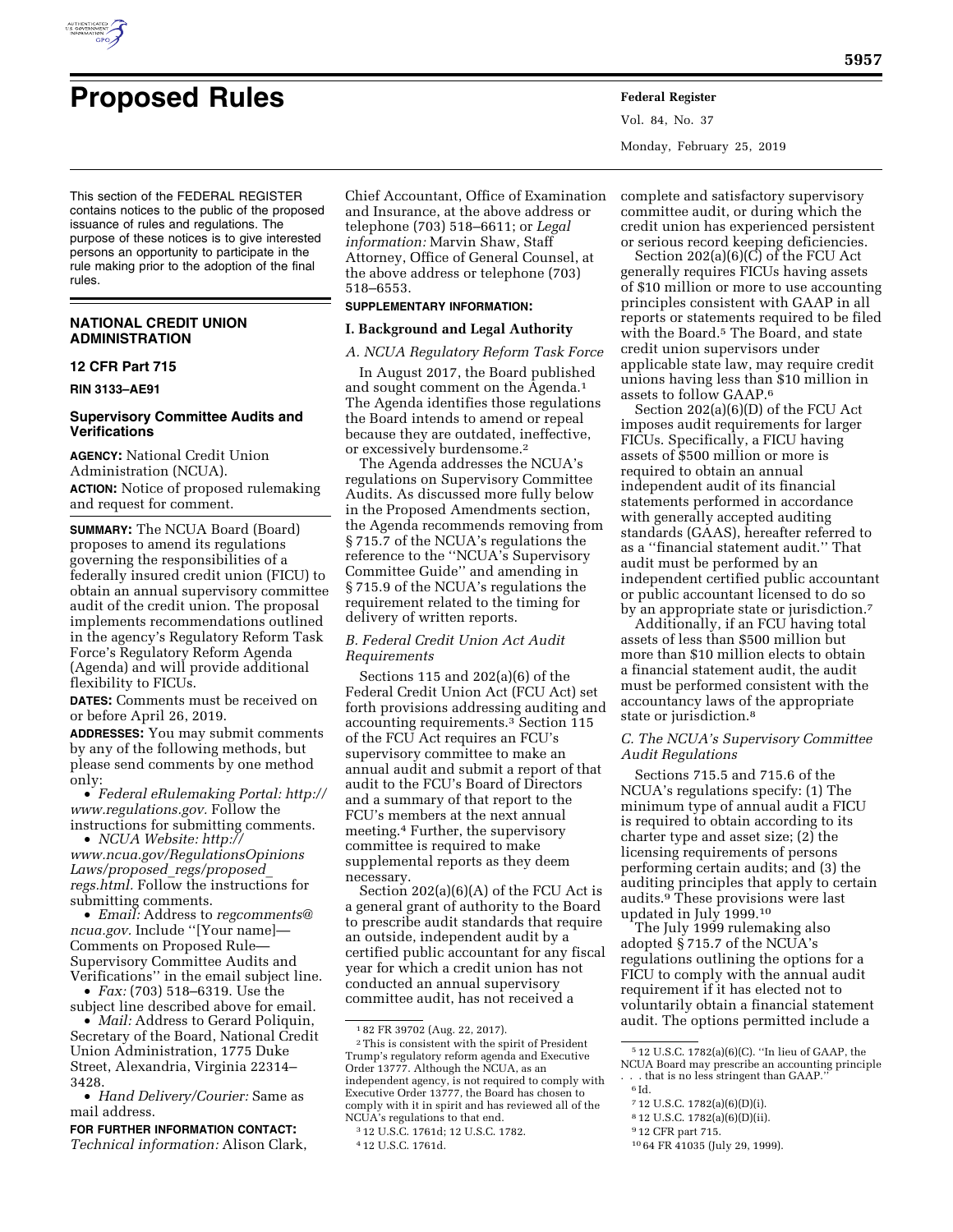

# **Proposed Rules Federal Register**

Vol. 84, No. 37 Monday, February 25, 2019

This section of the FEDERAL REGISTER contains notices to the public of the proposed issuance of rules and regulations. The purpose of these notices is to give interested persons an opportunity to participate in the rule making prior to the adoption of the final rules.

## **NATIONAL CREDIT UNION ADMINISTRATION**

## **12 CFR Part 715**

**RIN 3133–AE91** 

## **Supervisory Committee Audits and Verifications**

**AGENCY:** National Credit Union Administration (NCUA). **ACTION:** Notice of proposed rulemaking and request for comment.

**SUMMARY:** The NCUA Board (Board) proposes to amend its regulations governing the responsibilities of a federally insured credit union (FICU) to obtain an annual supervisory committee audit of the credit union. The proposal implements recommendations outlined in the agency's Regulatory Reform Task Force's Regulatory Reform Agenda (Agenda) and will provide additional flexibility to FICUs.

**DATES:** Comments must be received on or before April 26, 2019.

**ADDRESSES:** You may submit comments by any of the following methods, but please send comments by one method only:

• *Federal eRulemaking Portal: [http://](http://www.regulations.gov)  [www.regulations.gov.](http://www.regulations.gov)* Follow the instructions for submitting comments.

• *NCUA Website: [http://](http://www.ncua.gov/RegulationsOpinionsLaws/proposed_regs/proposed_regs.html) [www.ncua.gov/RegulationsOpinions](http://www.ncua.gov/RegulationsOpinionsLaws/proposed_regs/proposed_regs.html) [Laws/proposed](http://www.ncua.gov/RegulationsOpinionsLaws/proposed_regs/proposed_regs.html)*\_*regs/proposed*\_ *[regs.html.](http://www.ncua.gov/RegulationsOpinionsLaws/proposed_regs/proposed_regs.html)* Follow the instructions for

submitting comments. • *Email:* Address to *[regcomments@](mailto:regcomments@ncua.gov) [ncua.gov.](mailto:regcomments@ncua.gov)* Include ''[Your name]— Comments on Proposed Rule—

Supervisory Committee Audits and Verifications'' in the email subject line. • *Fax:* (703) 518–6319. Use the

subject line described above for email.

• *Mail:* Address to Gerard Poliquin, Secretary of the Board, National Credit Union Administration, 1775 Duke Street, Alexandria, Virginia 22314– 3428.

• *Hand Delivery/Courier:* Same as mail address.

**FOR FURTHER INFORMATION CONTACT:**  *Technical information:* Alison Clark,

Chief Accountant, Office of Examination and Insurance, at the above address or telephone (703) 518–6611; or *Legal information:* Marvin Shaw, Staff Attorney, Office of General Counsel, at the above address or telephone (703) 518–6553.

# **SUPPLEMENTARY INFORMATION:**

## **I. Background and Legal Authority**

*A. NCUA Regulatory Reform Task Force*  In August 2017, the Board published and sought comment on the Agenda.1 The Agenda identifies those regulations the Board intends to amend or repeal because they are outdated, ineffective, or excessively burdensome.2

The Agenda addresses the NCUA's regulations on Supervisory Committee Audits. As discussed more fully below in the Proposed Amendments section, the Agenda recommends removing from § 715.7 of the NCUA's regulations the reference to the ''NCUA's Supervisory Committee Guide'' and amending in § 715.9 of the NCUA's regulations the requirement related to the timing for delivery of written reports.

## *B. Federal Credit Union Act Audit Requirements*

Sections 115 and 202(a)(6) of the Federal Credit Union Act (FCU Act) set forth provisions addressing auditing and accounting requirements.3 Section 115 of the FCU Act requires an FCU's supervisory committee to make an annual audit and submit a report of that audit to the FCU's Board of Directors and a summary of that report to the FCU's members at the next annual meeting.4 Further, the supervisory committee is required to make supplemental reports as they deem necessary.

Section 202(a)(6)(A) of the FCU Act is a general grant of authority to the Board to prescribe audit standards that require an outside, independent audit by a certified public accountant for any fiscal year for which a credit union has not conducted an annual supervisory committee audit, has not received a

complete and satisfactory supervisory committee audit, or during which the credit union has experienced persistent or serious record keeping deficiencies.

Section 202(a)(6)(C) of the FCU Act generally requires FICUs having assets of \$10 million or more to use accounting principles consistent with GAAP in all reports or statements required to be filed with the Board.5 The Board, and state credit union supervisors under applicable state law, may require credit unions having less than \$10 million in assets to follow GAAP.6

Section 202(a)(6)(D) of the FCU Act imposes audit requirements for larger FICUs. Specifically, a FICU having assets of \$500 million or more is required to obtain an annual independent audit of its financial statements performed in accordance with generally accepted auditing standards (GAAS), hereafter referred to as a ''financial statement audit.'' That audit must be performed by an independent certified public accountant or public accountant licensed to do so by an appropriate state or jurisdiction.7

Additionally, if an FCU having total assets of less than \$500 million but more than \$10 million elects to obtain a financial statement audit, the audit must be performed consistent with the accountancy laws of the appropriate state or jurisdiction.8

#### *C. The NCUA's Supervisory Committee Audit Regulations*

Sections 715.5 and 715.6 of the NCUA's regulations specify: (1) The minimum type of annual audit a FICU is required to obtain according to its charter type and asset size; (2) the licensing requirements of persons performing certain audits; and (3) the auditing principles that apply to certain audits.9 These provisions were last updated in July 1999.10

The July 1999 rulemaking also adopted § 715.7 of the NCUA's regulations outlining the options for a FICU to comply with the annual audit requirement if it has elected not to voluntarily obtain a financial statement audit. The options permitted include a

- 7 12 U.S.C. 1782(a)(6)(D)(i).
- 8 12 U.S.C. 1782(a)(6)(D)(ii).

10 64 FR 41035 (July 29, 1999).

<sup>1</sup> 82 FR 39702 (Aug. 22, 2017).

<sup>2</sup>This is consistent with the spirit of President Trump's regulatory reform agenda and Executive Order 13777. Although the NCUA, as an independent agency, is not required to comply with Executive Order 13777, the Board has chosen to comply with it in spirit and has reviewed all of the NCUA's regulations to that end.

<sup>3</sup> 12 U.S.C. 1761d; 12 U.S.C. 1782.

<sup>4</sup> 12 U.S.C. 1761d.

<sup>5</sup> 12 U.S.C. 1782(a)(6)(C). ''In lieu of GAAP, the NCUA Board may prescribe an accounting principle . that is no less stringent than GAAP.'

 $^6\mbox{Id}.$ 

<sup>9</sup> 12 CFR part 715.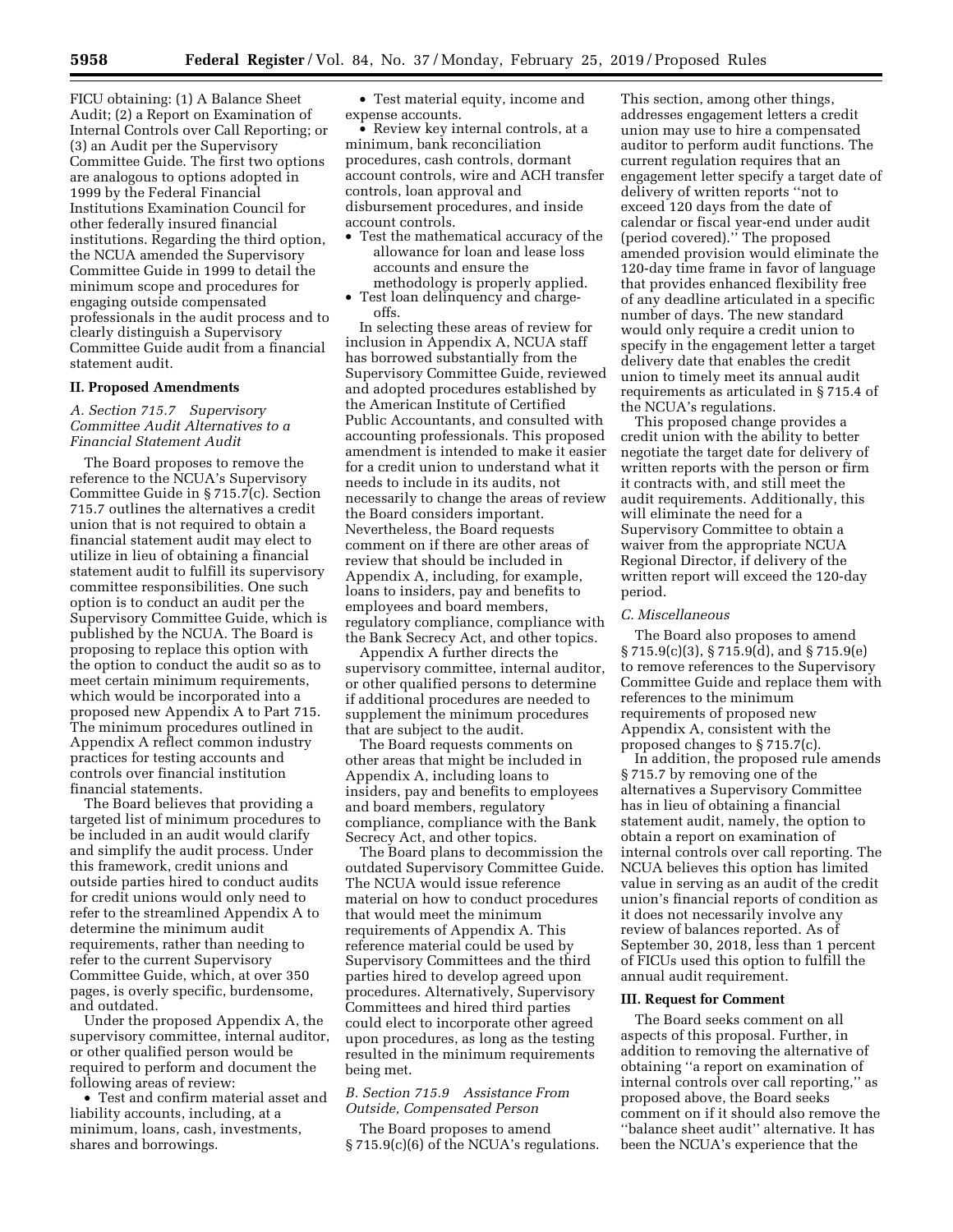FICU obtaining: (1) A Balance Sheet Audit; (2) a Report on Examination of Internal Controls over Call Reporting; or (3) an Audit per the Supervisory Committee Guide. The first two options are analogous to options adopted in 1999 by the Federal Financial Institutions Examination Council for other federally insured financial institutions. Regarding the third option, the NCUA amended the Supervisory Committee Guide in 1999 to detail the minimum scope and procedures for engaging outside compensated professionals in the audit process and to clearly distinguish a Supervisory Committee Guide audit from a financial statement audit.

## **II. Proposed Amendments**

*A. Section 715.7 Supervisory Committee Audit Alternatives to a Financial Statement Audit* 

The Board proposes to remove the reference to the NCUA's Supervisory Committee Guide in § 715.7(c). Section 715.7 outlines the alternatives a credit union that is not required to obtain a financial statement audit may elect to utilize in lieu of obtaining a financial statement audit to fulfill its supervisory committee responsibilities. One such option is to conduct an audit per the Supervisory Committee Guide, which is published by the NCUA. The Board is proposing to replace this option with the option to conduct the audit so as to meet certain minimum requirements, which would be incorporated into a proposed new Appendix A to Part 715. The minimum procedures outlined in Appendix A reflect common industry practices for testing accounts and controls over financial institution financial statements.

The Board believes that providing a targeted list of minimum procedures to be included in an audit would clarify and simplify the audit process. Under this framework, credit unions and outside parties hired to conduct audits for credit unions would only need to refer to the streamlined Appendix A to determine the minimum audit requirements, rather than needing to refer to the current Supervisory Committee Guide, which, at over 350 pages, is overly specific, burdensome, and outdated.

Under the proposed Appendix A, the supervisory committee, internal auditor, or other qualified person would be required to perform and document the following areas of review:

• Test and confirm material asset and liability accounts, including, at a minimum, loans, cash, investments, shares and borrowings.

• Test material equity, income and expense accounts.

• Review key internal controls, at a minimum, bank reconciliation procedures, cash controls, dormant account controls, wire and ACH transfer controls, loan approval and disbursement procedures, and inside account controls.

- Test the mathematical accuracy of the allowance for loan and lease loss accounts and ensure the methodology is properly applied.
- Test loan delinquency and chargeoffs.

In selecting these areas of review for inclusion in Appendix A, NCUA staff has borrowed substantially from the Supervisory Committee Guide, reviewed and adopted procedures established by the American Institute of Certified Public Accountants, and consulted with accounting professionals. This proposed amendment is intended to make it easier for a credit union to understand what it needs to include in its audits, not necessarily to change the areas of review the Board considers important. Nevertheless, the Board requests comment on if there are other areas of review that should be included in Appendix A, including, for example, loans to insiders, pay and benefits to employees and board members, regulatory compliance, compliance with the Bank Secrecy Act, and other topics.

Appendix A further directs the supervisory committee, internal auditor, or other qualified persons to determine if additional procedures are needed to supplement the minimum procedures that are subject to the audit.

The Board requests comments on other areas that might be included in Appendix A, including loans to insiders, pay and benefits to employees and board members, regulatory compliance, compliance with the Bank Secrecy Act, and other topics.

The Board plans to decommission the outdated Supervisory Committee Guide. The NCUA would issue reference material on how to conduct procedures that would meet the minimum requirements of Appendix A. This reference material could be used by Supervisory Committees and the third parties hired to develop agreed upon procedures. Alternatively, Supervisory Committees and hired third parties could elect to incorporate other agreed upon procedures, as long as the testing resulted in the minimum requirements being met.

## *B. Section 715.9 Assistance From Outside, Compensated Person*

The Board proposes to amend § 715.9(c)(6) of the NCUA's regulations.

This section, among other things, addresses engagement letters a credit union may use to hire a compensated auditor to perform audit functions. The current regulation requires that an engagement letter specify a target date of delivery of written reports ''not to exceed 120 days from the date of calendar or fiscal year-end under audit (period covered).'' The proposed amended provision would eliminate the 120-day time frame in favor of language that provides enhanced flexibility free of any deadline articulated in a specific number of days. The new standard would only require a credit union to specify in the engagement letter a target delivery date that enables the credit union to timely meet its annual audit requirements as articulated in § 715.4 of the NCUA's regulations.

This proposed change provides a credit union with the ability to better negotiate the target date for delivery of written reports with the person or firm it contracts with, and still meet the audit requirements. Additionally, this will eliminate the need for a Supervisory Committee to obtain a waiver from the appropriate NCUA Regional Director, if delivery of the written report will exceed the 120-day period.

#### *C. Miscellaneous*

The Board also proposes to amend § 715.9(c)(3), § 715.9(d), and § 715.9(e) to remove references to the Supervisory Committee Guide and replace them with references to the minimum requirements of proposed new Appendix A, consistent with the proposed changes to § 715.7(c).

In addition, the proposed rule amends § 715.7 by removing one of the alternatives a Supervisory Committee has in lieu of obtaining a financial statement audit, namely, the option to obtain a report on examination of internal controls over call reporting. The NCUA believes this option has limited value in serving as an audit of the credit union's financial reports of condition as it does not necessarily involve any review of balances reported. As of September 30, 2018, less than 1 percent of FICUs used this option to fulfill the annual audit requirement.

### **III. Request for Comment**

The Board seeks comment on all aspects of this proposal. Further, in addition to removing the alternative of obtaining ''a report on examination of internal controls over call reporting,'' as proposed above, the Board seeks comment on if it should also remove the ''balance sheet audit'' alternative. It has been the NCUA's experience that the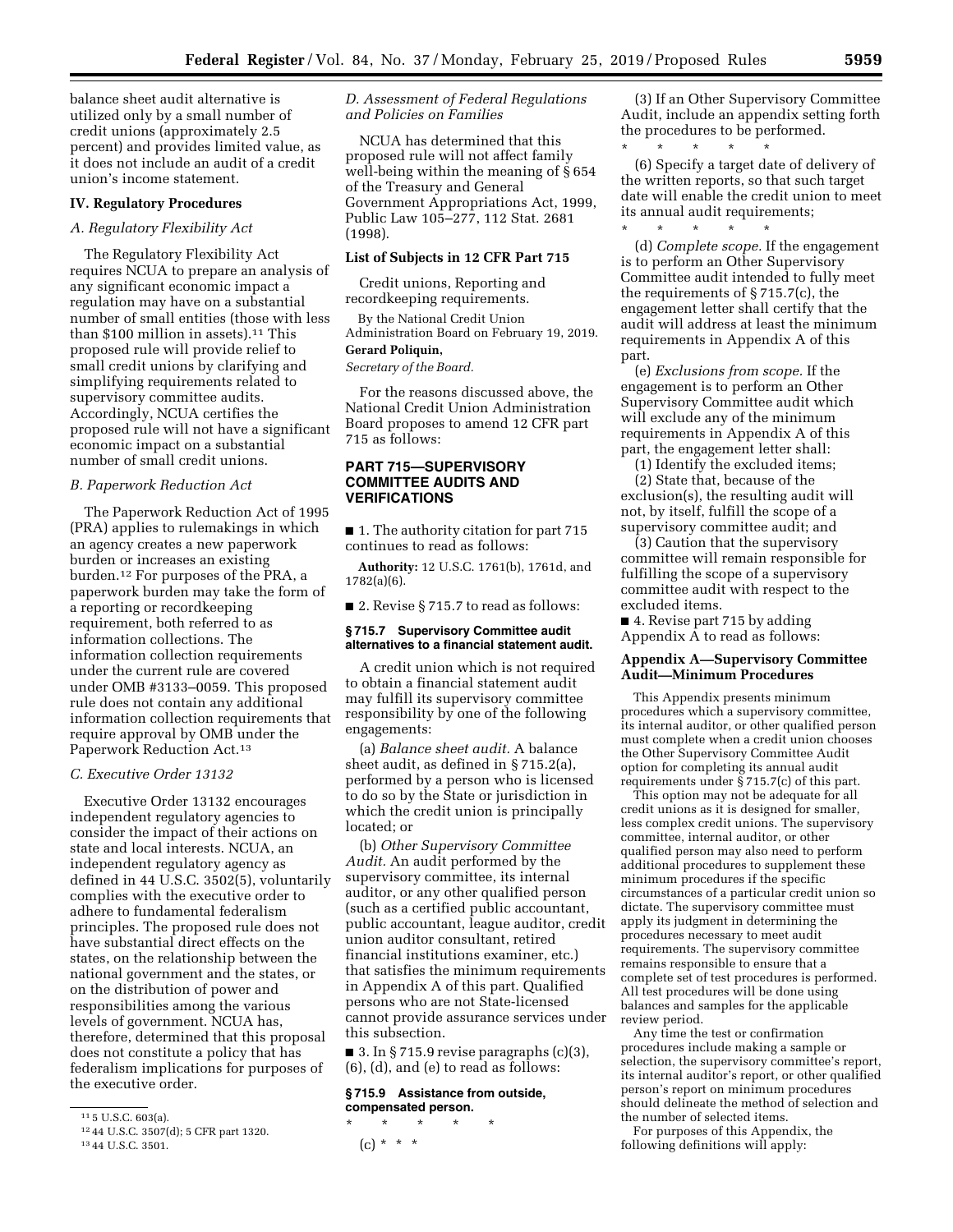balance sheet audit alternative is utilized only by a small number of credit unions (approximately 2.5 percent) and provides limited value, as it does not include an audit of a credit union's income statement.

#### **IV. Regulatory Procedures**

## *A. Regulatory Flexibility Act*

The Regulatory Flexibility Act requires NCUA to prepare an analysis of any significant economic impact a regulation may have on a substantial number of small entities (those with less than \$100 million in assets).<sup>11</sup> This proposed rule will provide relief to small credit unions by clarifying and simplifying requirements related to supervisory committee audits. Accordingly, NCUA certifies the proposed rule will not have a significant economic impact on a substantial number of small credit unions.

# *B. Paperwork Reduction Act*

The Paperwork Reduction Act of 1995 (PRA) applies to rulemakings in which an agency creates a new paperwork burden or increases an existing burden.12 For purposes of the PRA, a paperwork burden may take the form of a reporting or recordkeeping requirement, both referred to as information collections. The information collection requirements under the current rule are covered under OMB #3133–0059. This proposed rule does not contain any additional information collection requirements that require approval by OMB under the Paperwork Reduction Act.13

#### *C. Executive Order 13132*

Executive Order 13132 encourages independent regulatory agencies to consider the impact of their actions on state and local interests. NCUA, an independent regulatory agency as defined in 44 U.S.C. 3502(5), voluntarily complies with the executive order to adhere to fundamental federalism principles. The proposed rule does not have substantial direct effects on the states, on the relationship between the national government and the states, or on the distribution of power and responsibilities among the various levels of government. NCUA has, therefore, determined that this proposal does not constitute a policy that has federalism implications for purposes of the executive order.

*D. Assessment of Federal Regulations and Policies on Families* 

NCUA has determined that this proposed rule will not affect family well-being within the meaning of § 654 of the Treasury and General Government Appropriations Act, 1999, Public Law 105–277, 112 Stat. 2681 (1998).

#### **List of Subjects in 12 CFR Part 715**

Credit unions, Reporting and recordkeeping requirements.

By the National Credit Union Administration Board on February 19, 2019.

# **Gerard Poliquin,**

*Secretary of the Board.* 

For the reasons discussed above, the National Credit Union Administration Board proposes to amend 12 CFR part 715 as follows:

## **PART 715—SUPERVISORY COMMITTEE AUDITS AND VERIFICATIONS**

■ 1. The authority citation for part 715 continues to read as follows:

**Authority:** 12 U.S.C. 1761(b), 1761d, and 1782(a)(6).

■ 2. Revise § 715.7 to read as follows:

#### **§ 715.7 Supervisory Committee audit alternatives to a financial statement audit.**

A credit union which is not required to obtain a financial statement audit may fulfill its supervisory committee responsibility by one of the following engagements:

(a) *Balance sheet audit.* A balance sheet audit, as defined in § 715.2(a), performed by a person who is licensed to do so by the State or jurisdiction in which the credit union is principally located; or

(b) *Other Supervisory Committee Audit.* An audit performed by the supervisory committee, its internal auditor, or any other qualified person (such as a certified public accountant, public accountant, league auditor, credit union auditor consultant, retired financial institutions examiner, etc.) that satisfies the minimum requirements in Appendix A of this part. Qualified persons who are not State-licensed cannot provide assurance services under this subsection.

■ 3. In § 715.9 revise paragraphs (c)(3), (6), (d), and (e) to read as follows:

#### **§ 715.9 Assistance from outside, compensated person.**

\* \* \* \* \*  $(c) * * * *$ 

(3) If an Other Supervisory Committee Audit, include an appendix setting forth the procedures to be performed.

\* \* \* \* \* (6) Specify a target date of delivery of the written reports, so that such target date will enable the credit union to meet its annual audit requirements; \* \* \* \* \*

(d) *Complete scope.* If the engagement is to perform an Other Supervisory Committee audit intended to fully meet the requirements of § 715.7(c), the engagement letter shall certify that the audit will address at least the minimum requirements in Appendix A of this part.

(e) *Exclusions from scope.* If the engagement is to perform an Other Supervisory Committee audit which will exclude any of the minimum requirements in Appendix A of this part, the engagement letter shall:

(1) Identify the excluded items; (2) State that, because of the exclusion(s), the resulting audit will not, by itself, fulfill the scope of a supervisory committee audit; and

(3) Caution that the supervisory committee will remain responsible for fulfilling the scope of a supervisory committee audit with respect to the excluded items.

■ 4. Revise part 715 by adding Appendix A to read as follows:

#### **Appendix A—Supervisory Committee Audit—Minimum Procedures**

This Appendix presents minimum procedures which a supervisory committee, its internal auditor, or other qualified person must complete when a credit union chooses the Other Supervisory Committee Audit option for completing its annual audit requirements under  $\S$  715.7(c) of this part.

This option may not be adequate for all credit unions as it is designed for smaller, less complex credit unions. The supervisory committee, internal auditor, or other qualified person may also need to perform additional procedures to supplement these minimum procedures if the specific circumstances of a particular credit union so dictate. The supervisory committee must apply its judgment in determining the procedures necessary to meet audit requirements. The supervisory committee remains responsible to ensure that a complete set of test procedures is performed. All test procedures will be done using balances and samples for the applicable review period.

Any time the test or confirmation procedures include making a sample or selection, the supervisory committee's report, its internal auditor's report, or other qualified person's report on minimum procedures should delineate the method of selection and the number of selected items.

For purposes of this Appendix, the following definitions will apply:

<sup>11</sup> 5 U.S.C. 603(a).

<sup>12</sup> 44 U.S.C. 3507(d); 5 CFR part 1320.

<sup>13</sup> 44 U.S.C. 3501.